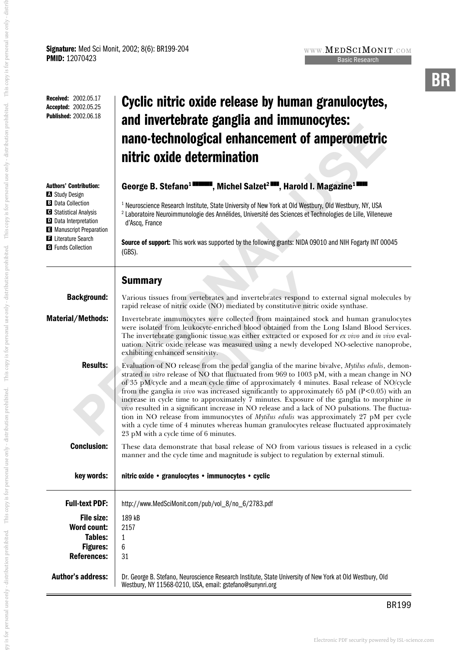This copy is for personal use only - distribution prohibited. This copy is for personal use only - distrib

py is for personal use only - distribution prohibited. This copy is for personal use only - distribution prohibited. This copy is for personal use only - distribution prohibited.

py is for personal use only - distributiond, This copy is for personal use only - distribution prohibited. This copy is for personal use only - distribution prohibited. This copy is for personal use only - distribution pro

| Received: 2002.05.17<br>Accepted: 2002.05.25<br><b>Published: 2002.06.18</b>                                                                                                                                                       | Cyclic nitric oxide release by human granulocytes,<br>and invertebrate ganglia and immunocytes:<br>nano-technological enhancement of amperometric<br>nitric oxide determination                                                                                                                                                                                                                                                                                                                                                                                                                                                                                                                                                                                                                                                   |  |  |  |  |  |
|------------------------------------------------------------------------------------------------------------------------------------------------------------------------------------------------------------------------------------|-----------------------------------------------------------------------------------------------------------------------------------------------------------------------------------------------------------------------------------------------------------------------------------------------------------------------------------------------------------------------------------------------------------------------------------------------------------------------------------------------------------------------------------------------------------------------------------------------------------------------------------------------------------------------------------------------------------------------------------------------------------------------------------------------------------------------------------|--|--|--|--|--|
| <b>Authors' Contribution:</b><br><b>A</b> Study Design<br><b>B</b> Data Collection<br><b>B</b> Statistical Analysis<br>D Data Interpretation<br>Manuscript Preparation<br><b>El</b> Literature Search<br><b>G</b> Funds Collection | George B. Stefano <sup>1</sup> <b>EXPROM</b> , Michel Salzet <sup>2</sup> <b>EXP.</b> Harold I. Magazine <sup>11</sup><br><sup>1</sup> Neuroscience Research Institute, State University of New York at Old Westbury, Old Westbury, NY, USA<br><sup>2</sup> Laboratoire Neuroimmunologie des Annélides, Université des Sciences et Technologies de Lille, Villeneuve<br>d'Ascq, France<br>Source of support: This work was supported by the following grants: NIDA 09010 and NIH Fogarty INT 00045<br>$(GBS)$ .                                                                                                                                                                                                                                                                                                                   |  |  |  |  |  |
|                                                                                                                                                                                                                                    | <b>Summary</b>                                                                                                                                                                                                                                                                                                                                                                                                                                                                                                                                                                                                                                                                                                                                                                                                                    |  |  |  |  |  |
| <b>Background:</b>                                                                                                                                                                                                                 | Various tissues from vertebrates and invertebrates respond to external signal molecules by<br>rapid release of nitric oxide (NO) mediated by constitutive nitric oxide synthase.                                                                                                                                                                                                                                                                                                                                                                                                                                                                                                                                                                                                                                                  |  |  |  |  |  |
| <b>Material/Methods:</b>                                                                                                                                                                                                           | Invertebrate immunocytes were collected from maintained stock and human granulocytes<br>were isolated from leukocyte-enriched blood obtained from the Long Island Blood Services.<br>The invertebrate ganglionic tissue was either extracted or exposed for ex vivo and in vivo eval-<br>uation. Nitric oxide release was measured using a newly developed NO-selective nanoprobe,<br>exhibiting enhanced sensitivity.                                                                                                                                                                                                                                                                                                                                                                                                            |  |  |  |  |  |
| <b>Results:</b>                                                                                                                                                                                                                    | Evaluation of NO release from the pedal ganglia of the marine bivalve, Mytilus edulis, demon-<br>strated in vitro release of NO that fluctuated from 969 to 1003 pM, with a mean change in NO<br>of 35 pM/cycle and a mean cycle time of approximately 4 minutes. Basal release of NO/cycle<br>from the ganglia in vivo was increased significantly to approximately 65 pM ( $P<0.05$ ) with an<br>increase in cycle time to approximately 7 minutes. Exposure of the ganglia to morphine in<br>vivo resulted in a significant increase in NO release and a lack of NO pulsations. The fluctua-<br>tion in NO release from immunocytes of Mytilus edulis was approximately 27 pM per cycle<br>with a cycle time of 4 minutes whereas human granulocytes release fluctuated approximately<br>23 pM with a cycle time of 6 minutes. |  |  |  |  |  |
| <b>Conclusion:</b>                                                                                                                                                                                                                 | These data demonstrate that basal release of NO from various tissues is released in a cyclic<br>manner and the cycle time and magnitude is subject to regulation by external stimuli.                                                                                                                                                                                                                                                                                                                                                                                                                                                                                                                                                                                                                                             |  |  |  |  |  |
| key words:                                                                                                                                                                                                                         | nitric oxide • granulocytes • immunocytes • cyclic                                                                                                                                                                                                                                                                                                                                                                                                                                                                                                                                                                                                                                                                                                                                                                                |  |  |  |  |  |
| <b>Full-text PDF:</b><br><b>File size:</b><br><b>Word count:</b><br><b>Tables:</b><br><b>Figures:</b><br><b>References:</b>                                                                                                        | http://www.MedSciMonit.com/pub/vol_8/no_6/2783.pdf<br>189 kB<br>2157<br>1<br>6<br>31                                                                                                                                                                                                                                                                                                                                                                                                                                                                                                                                                                                                                                                                                                                                              |  |  |  |  |  |
| <b>Author's address:</b>                                                                                                                                                                                                           | Dr. George B. Stefano, Neuroscience Research Institute, State University of New York at Old Westbury, Old<br>Westbury, NY 11568-0210, USA, email: gstefano@sunynri.org                                                                                                                                                                                                                                                                                                                                                                                                                                                                                                                                                                                                                                                            |  |  |  |  |  |

WWW. $\mathbf{MEDSCIMONIT. COM}$ **Basic Research Basic Research**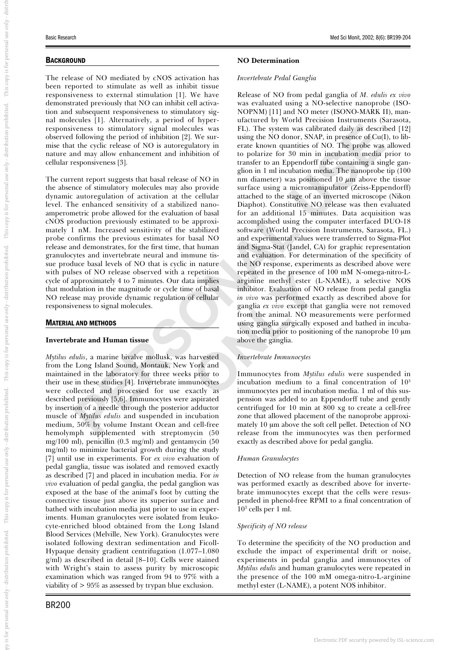#### **BACKGROUND**

The release of NO mediated by cNOS activation has been reported to stimulate as well as inhibit tissue responsiveness to external stimulation [1]. We have demonstrated previously that NO can inhibit cell activation and subsequent responsiveness to stimulatory signal molecules [1]. Alternatively, a period of hyperresponsiveness to stimulatory signal molecules was observed following the period of inhibition [2]. We surmise that the cyclic release of NO is autoregulatory in nature and may allow enhancement and inhibition of cellular responsiveness [3].

The current report suggests that basal release of NO in the absence of stimulatory molecules may also provide dynamic autoregulation of activation at the cellular level. The enhanced sensitivity of a stabilized nanoamperometric probe allowed for the evaluation of basal cNOS production previously estimated to be approximately 1 nM. Increased sensitivity of the stabilized probe confirms the previous estimates for basal NO release and demonstrates, for the first time, that human granulocytes and invertebrate neural and immune tissue produce basal levels of NO that is cyclic in nature with pulses of NO release observed with a repetition cycle of approximately 4 to 7 minutes. Our data implies that modulation in the magnitude or cycle time of basal NO release may provide dynamic regulation of cellular responsiveness to signal molecules.

#### MATERIAL AND METHODS

#### **Invertebrate and Human tissue**

*Mytilus edulis*, a marine bivalve mollusk, was harvested from the Long Island Sound, Montauk, New York and maintained in the laboratory for three weeks prior to their use in these studies [4]. Invertebrate immunocytes were collected and processed for use exactly as described previously [5,6]. Immunocytes were aspirated by insertion of a needle through the posterior adductor muscle of *Mytilus edulis* and suspended in incubation medium, 50% by volume Instant Ocean and cell-free hemolymph supplemented with streptomycin (50 mg/100 ml), penicillin (0.3 mg/ml) and gentamycin (50 mg/ml) to minimize bacterial growth during the study [7] until use in experiments. For *ex vivo* evaluation of pedal ganglia, tissue was isolated and removed exactly as described [7] and placed in incubation media. For *in vivo* evaluation of pedal ganglia, the pedal ganglion was exposed at the base of the animal's foot by cutting the connective tissue just above its superior surface and bathed with incubation media just prior to use in experiments. Human granulocytes were isolated from leukocyte-enriched blood obtained from the Long Island Blood Services (Melville, New York). Granulocytes were isolated following dextran sedimentation and Ficoll-Hypaque density gradient centrifugation (1.077–1.080 g/ml) as described in detail [8–10]. Cells were stained with Wright's stain to assess purity by microscopic examination which was ranged from 94 to 97% with a viability of > 95% as assessed by trypan blue exclusion.

#### **NO Determination**

#### *Invertebrate Pedal Ganglia*

verses to simulatary signal molecules vas F11. The system was clichard daily as described in the cyclic receiver of CM, The system of CM, The period of inhibition [2], We sur-<br>
In the period of one anomy quantities of NO. Release of NO from pedal ganglia of *M. edulis ex vivo* was evaluated using a NO-selective nanoprobe (ISO-NOPNM) [11] and NO meter (ISONO-MARK II), manufactured by World Precision Instruments (Sarasota, FL). The system was calibrated daily as described [12] using the NO donor, SNAP, in presence of Cu(I), to liberate known quantities of NO. The probe was allowed to polarize for 30 min in incubation media prior to transfer to an Eppendorff tube containing a single ganglion in 1 ml incubation media. The nanoprobe tip (100 nm diameter) was positioned 10  $\mu$ m above the tissue surface using a micromanipulator (Zeiss-Eppendorff) attached to the stage of an inverted microscope (Nikon Diaphot). Constitutive NO release was then evaluated for an additional 15 minutes. Data acquisition was accomplished using the computer interfaced DUO-18 software (World Precision Instruments, Sarasota, FL.) and experimental values were transferred to Sigma-Plot and Sigma-Stat (Jandel, CA) for graphic representation and evaluation. For determination of the specificity of the NO response, experiments as described above were repeated in the presence of 100 mM N-omega-nitro-Larginine methyl ester (L-NAME), a selective NOS inhibitor. Evaluation of NO release from pedal ganglia *in vivo* was performed exactly as described above for ganglia *ex vivo* except that ganglia were not removed from the animal. NO measurements were performed using ganglia surgically exposed and bathed in incubation media prior to positioning of the nanoprobe 10 µm above the ganglia.

#### *Invertebrate Immunocytes*

Immunocytes from *Mytilus edulis* were suspended in incubation medium to a final concentration of 10 3 immunocytes per ml incubation media. 1 ml of this suspension was added to an Eppendorff tube and gently centrifuged for 10 min at 800 xg to create a cell-free zone that allowed placement of the nanoprobe approximately 10  $\mu$ m above the soft cell pellet. Detection of NO release from the immunocytes was then performed exactly as described above for pedal ganglia.

#### *Human Granulocytes*

Detection of NO release from the human granulocytes was performed exactly as described above for invertebrate immunocytes except that the cells were resuspended in phenol-free RPMI to a final concentration of 10 <sup>3</sup> cells per 1 ml.

#### *Specificity of NO release*

To determine the specificity of the NO production and exclude the impact of experimental drift or noise, experiments in pedal ganglia and immunocytes of *Mytilus edulis* and human granulocytes were repeated in the presence of the 100 mM omega-nitro-L-arginine methyl ester (L-NAME), a potent NOS inhibitor.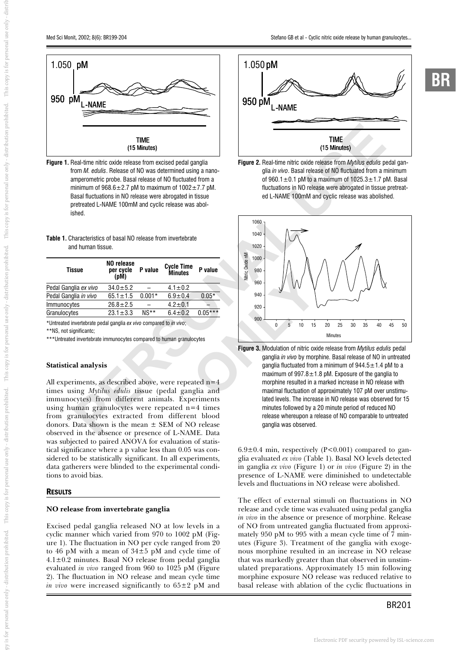**BR**



**Figure 1.** Real-time nitric oxide release from excised pedal ganglia from *M. edulis*. Release of NO was determined using a nanoamperometric probe. Basal release of NO fluctuated from a minimum of  $968.6 \pm 2.7$  pM to maximum of  $1002 \pm 7.7$  pM. Basal fluctuations in NO release were abrogated in tissue pretreated L-NAME 100mM and cyclic release was abolished.

| <b>Table 1.</b> Characteristics of basal NO release from invertebrate |  |  |
|-----------------------------------------------------------------------|--|--|
| and human tissue.                                                     |  |  |

| Tissue                                                             | NO release<br>per cycle<br>(pM) | P value  | <b>Cycle Time</b><br><b>Minutes</b> | P value   |  |  |  |
|--------------------------------------------------------------------|---------------------------------|----------|-------------------------------------|-----------|--|--|--|
| Pedal Ganglia ex vivo                                              | $34.0 \pm 5.2$                  |          | $4.1 \pm 0.2$                       |           |  |  |  |
| Pedal Ganglia in vivo                                              | $65.1 \pm 1.5$                  | $0.001*$ | $6.9 \pm 0.4$                       | $0.05*$   |  |  |  |
| Immunocytes                                                        | $26.8 \pm 2.5$                  |          | $4.2 \pm 0.1$                       |           |  |  |  |
| Granulocytes                                                       | $23.1 \pm 3.3$                  | $NS**$   | $6.4 \pm 0.2$                       | $0.05***$ |  |  |  |
| *Untreated invertebrate pedal ganglia ex vivo compared to in vivo; |                                 |          |                                     |           |  |  |  |

\*\*NS, not significantc;

\*\*\*Untreated invertebrate immunocytes compared to human granulocytes

#### **Statistical analysis**

All experiments, as described above, were repeated n=4 times using *Mytilus edulis* tissue (pedal ganglia and immunocytes) from different animals. Experiments using human granulocytes were repeated n=4 times from granulocytes extracted from different blood donors. Data shown is the mean ± SEM of NO release observed in the absence or presence of L-NAME. Data was subjected to paired ANOVA for evaluation of statistical significance where a p value less than 0.05 was considered to be statistically significant. In all experiments, data gatherers were blinded to the experimental conditions to avoid bias.

#### RESULTS

#### **NO release from invertebrate ganglia**

Excised pedal ganglia released NO at low levels in a cyclic manner which varied from 970 to 1002 pM (Figure 1). The fluctuation in NO per cycle ranged from 20 to 46 pM with a mean of 34±5 pM and cycle time of  $4.1 \pm 0.2$  minutes. Basal NO release from pedal ganglia evaluated *in vivo* ranged from 960 to 1025 pM (Figure 2). The fluctuation in NO release and mean cycle time *in vivo* were increased significantly to 65±2 pM and







**Figure 3.** Modulation of nitric oxide release from *Mytilus edulis* pedal ganglia *in vivo* by morphine. Basal release of NO in untreated ganglia fluctuated from a minimum of  $944.5 \pm 1.4$  pM to a maximum of  $997.8 \pm 1.8$  pM. Exposure of the ganglia to morphine resulted in a marked increase in NO release with maximal fluctuation of approximately 107 pM over unstimulated levels. The increase in NO release was observed for 15 minutes followed by a 20 minute period of reduced NO release whereupon a release of NO comparable to untreated ganglia was observed.

 $6.9\pm0.4$  min, respectively (P<0.001) compared to ganglia evaluated *ex vivo* (Table 1). Basal NO levels detected in ganglia *ex vivo* (Figure 1) or *in vivo* (Figure 2) in the presence of L-NAME were diminished to undetectable levels and fluctuations in NO release were abolished.

The effect of external stimuli on fluctuations in NO release and cycle time was evaluated using pedal ganglia *in vivo* in the absence or presence of morphine. Release of NO from untreated ganglia fluctuated from approximately 950 pM to 995 with a mean cycle time of 7 minutes (Figure 3). Treatment of the ganglia with exogenous morphine resulted in an increase in NO release that was markedly greater than that observed in unstimulated preparations. Approximately 15 min following morphine exposure NO release was reduced relative to basal release with ablation of the cyclic fluctuations in

#### BR201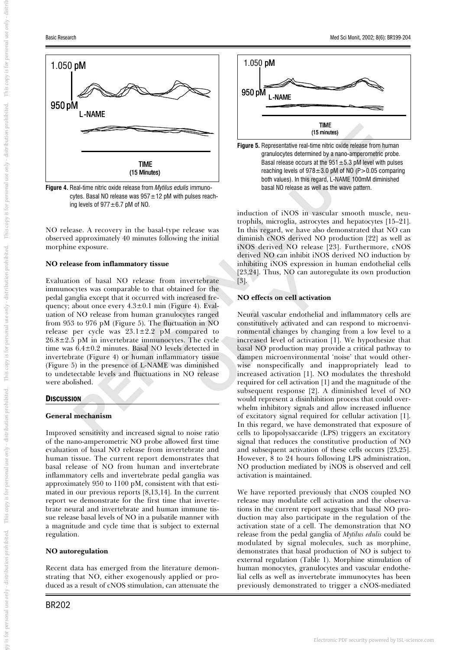

**Figure 4.** Real-time nitric oxide release from *Mytilus edulis* immunocytes. Basal NO release was  $957 \pm 12$  pM with pulses reaching levels of  $977 \pm 6.7$  pM of NO.

NO release. A recovery in the basal-type release was observed approximately 40 minutes following the initial morphine exposure.

#### **NO release from inflammatory tissue**

Evaluation of basal NO release from invertebrate immunocytes was comparable to that obtained for the pedal ganglia except that it occurred with increased frequency; about once every  $4.3\pm0.1$  min (Figure 4). Evaluation of NO release from human granulocytes ranged from 953 to 976 pM (Figure 5). The fluctuation in NO release per cycle was 23.1±2.2 pM compared to  $26.8 \pm 2.5$  pM in invertebrate immunocytes. The cycle time was 6.4±0.2 minutes. Basal NO levels detected in invertebrate (Figure 4) or human inflammatory tissue (Figure 5) in the presence of L-NAME was diminished to undetectable levels and fluctuations in NO release were abolished.

#### **DISCUSSION**

#### **General mechanism**

Improved sensitivity and increased signal to noise ratio of the nano-amperometric NO probe allowed first time evaluation of basal NO release from invertebrate and human tissue. The current report demonstrates that basal release of NO from human and invertebrate inflammatory cells and invertebrate pedal ganglia was approximately 950 to 1100 pM, consistent with that estimated in our previous reports [8,13,14]. In the current report we demonstrate for the first time that invertebrate neural and invertebrate and human immune tissue release basal levels of NO in a pulsatile manner with a magnitude and cycle time that is subject to external regulation.

#### **NO autoregulation**

Recent data has emerged from the literature demonstrating that NO, either exogenously applied or produced as a result of cNOS stimulation, can attenuate the





induction of iNOS in vascular smooth muscle, neutrophils, microglia, astrocytes and hepatocytes [15–21]. In this regard, we have also demonstrated that NO can diminish cNOS derived NO production [22] as well as iNOS derived NO release [23]. Furthermore, cNOS derived NO can inhibit iNOS derived NO induction by inhibiting iNOS expression in human endothelial cells [23,24]. Thus, NO can autoregulate its own production [3].

#### **NO effects on cell activation**

**PERSONAL TENSION CONSECTED FOR A CONSECTED TRANSPORTATION CONSECTED AND CONSECTED TRANSPORTATION CONSECTED AND CONSECTED TRANSPORTATION (15 MWH) (15 MWH) (15 MWH) (15 MWH) (15 MWH) (15 MWH) (16 MWH) (16 MWH) (16 MWH) (16** Neural vascular endothelial and inflammatory cells are constitutively activated and can respond to microenvironmental changes by changing from a low level to a increased level of activation [1]. We hypothesize that basal NO production may provide a critical pathway to dampen microenvironmental 'noise' that would otherwise nonspecifically and inappropriately lead to increased activation [1]. NO modulates the threshold required for cell activation [1] and the magnitude of the subsequent response [2]. A diminished level of NO would represent a disinhibition process that could overwhelm inhibitory signals and allow increased influence of excitatory signal required for cellular activation [1]. In this regard, we have demonstrated that exposure of cells to lipopolysaccaride (LPS) triggers an excitatory signal that reduces the constitutive production of NO and subsequent activation of these cells occurs [23,25]. However, 8 to 24 hours following LPS administration, NO production mediated by iNOS is observed and cell activation is maintained.

> We have reported previously that cNOS coupled NO release may modulate cell activation and the observations in the current report suggests that basal NO production may also participate in the regulation of the activation state of a cell. The demonstration that NO release from the pedal ganglia of *Mytilus edulis* could be modulated by signal molecules, such as morphine, demonstrates that basal production of NO is subject to external regulation (Table 1). Morphine stimulation of human monocytes, granulocytes and vascular endothelial cells as well as invertebrate immunocytes has been previously demonstrated to trigger a cNOS-mediated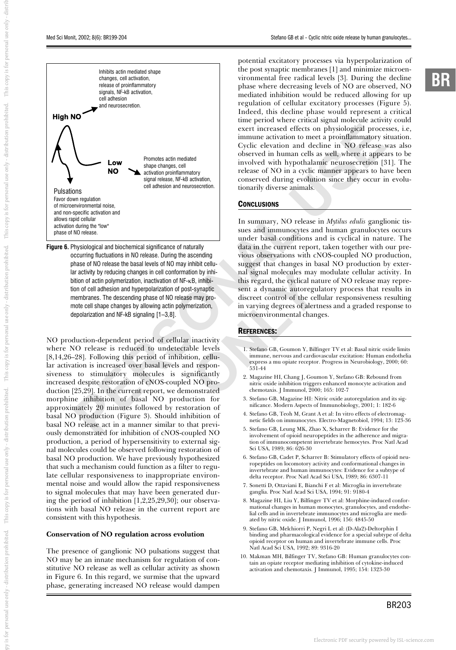This copy is for personal use only - distributed the copy of

This copy is for personal use only - distribution prohibited.

This copy is for personal use only - distribution prohibited.

This copy is for personal use only - distribution prohibited.

py is for personal use only - distribution prohibited.

py is for personal use only - distributiond, This copy is for personal use only - distribution prohibited. This copy is for personal use only - distribution prohibited. This copy is for personal use only - distribution pro



**Figure 6.** Physiological and biochemical significance of naturally occurring fluctuations in NO release. During the ascending phase of NO release the basal levels of NO may inhibit cellular activity by reducing changes in cell conformation by inhibition of actin polymerization, inactivation of NF-κB, inhibition of cell adhesion and hyperpolarization of post-synaptic membranes. The descending phase of NO release may promote cell shape changes by allowing actin polymerization, depolarization and NF-kB signaling [1–3,8].

NO production-dependent period of cellular inactivity where NO release is reduced to undetectable levels [8,14,26–28]. Following this period of inhibition, cellular activation is increased over basal levels and responsiveness to stimulatory molecules is significantly increased despite restoration of cNOS-coupled NO production [25,29]. In the current report, we demonstrated morphine inhibition of basal NO production for approximately 20 minutes followed by restoration of basal NO production (Figure 3). Should inhibition of basal NO release act in a manner similar to that previously demonstrated for inhibition of cNOS-coupled NO production, a period of hypersensitivity to external signal molecules could be observed following restoration of basal NO production. We have previously hypothesized that such a mechanism could function as a filter to regulate cellular responsiveness to inappropriate environmental noise and would allow the rapid responsiveness to signal molecules that may have been generated during the period of inhibition [1,2,25,29,30]; our observations with basal NO release in the current report are consistent with this hypothesis.

#### **Conservation of NO regulation across evolution**

The presence of ganglionic NO pulsations suggest that NO may be an innate mechanism for regulation of constitutive NO release as well as cellular activity as shown in Figure 6. In this regard, we surmise that the upward phase, generating increased NO release would dampen

potential excitatory processes via hyperpolarization of the post synaptic membranes [1] and minimize microenvironmental free radical levels [3]. During the decline phase where decreasing levels of NO are observed, NO mediated inhibition would be reduced allowing for up regulation of cellular excitatory processes (Figure 5). Indeed, this decline phase would represent a critical time period where critical signal molecule activity could exert increased effects on physiological processes, i.e, immune activation to meet a proinflammatory situation. Cyclic elevation and decline in NO release was also observed in human cells as well, where it appears to be involved with hypothalamic neurosecretion [31]. The release of NO in a cyclic manner appears to have been conserved during evolution since they occur in evolutionarily diverse animals.

#### **CONCLUSIONS**

In summary, NO release in *Mytilus edulis* ganglionic tissues and immunocytes and human granulocytes occurs under basal conditions and is cyclical in nature. The data in the current report, taken together with our previous observations with cNOS-coupled NO production, suggest that changes in basal NO production by external signal molecules may modulate cellular activity. In this regard, the cyclical nature of NO release may represent a dynamic autoregulatory process that results in discreet control of the cellular responsiveness resulting in varying degrees of alertness and a graded response to microenvironmental changes.

#### REFERENCES:

- 1. Stefano GB, Goumon Y, Bilfinger TV et al: Basal nitric oxide limits immune, nervous and cardiovascular excitation: Human endothelia express a mu opiate receptor. Progress in Neurobiology, 2000; 60: 531-44
- 2. Magazine HI, Chang J, Goumon Y, Stefano GB: Rebound from nitric oxide inhibition triggers enhanced monocyte activation and chemotaxis. J Immunol, 2000; 165: 102-7
- 3. Stefano GB, Magazine HI: Nitric oxide autoregulation and its significance. Modern Aspects of Immunobiology, 2001; 1: 182-6
- 4. Stefano GB, Teoh M, Grant A et al: In vitro effects of electromagnetic fields on immunocytes. Electro-Magnetobiol, 1994; 13: 123-36
- 5. Stefano GB, Leung MK, Zhao X, Scharrer B: Evidence for the involvement of opioid neuropeptides in the adherence and migration of immunocompetent invertebrate hemocytes. Proc Natl Acad Sci USA, 1989; 86: 626-30
- 6. Stefano GB, Cadet P, Scharrer B: Stimulatory effects of opioid neuropeptides on locomotory activity and conformational changes in invertebrate and human immunocytes: Evidence for a subtype of delta receptor. Proc Natl Acad Sci USA, 1989; 86: 6307-11
- 7. Sonetti D, Ottaviani E, Bianchi F et al: Microglia in invertebrate ganglia. Proc Natl Acad Sci USA, 1994; 91: 9180-4
- 8. Magazine HI, Liu Y, Bilfinger TV et al: Morphine-induced conformational changes in human monocytes, granulocytes, and endothelial cells and in invertebrate immunocytes and microglia are mediated by nitric oxide. J Immunol, 1996; 156: 4845-50
- 9. Stefano GB, Melchiorri P, Negri L et al: (D-Ala2)-Deltorphin I binding and pharmacological evidence for a special subtype of delta opioid receptor on human and invertebrate immune cells. Proc Natl Acad Sci USA, 1992; 89: 9316-20
- 10. Makman MH, Bilfinger TV, Stefano GB: Human granulocytes contain an opiate receptor mediating inhibition of cytokine-induced activation and chemotaxis. J Immunol, 1995; 154: 1323-30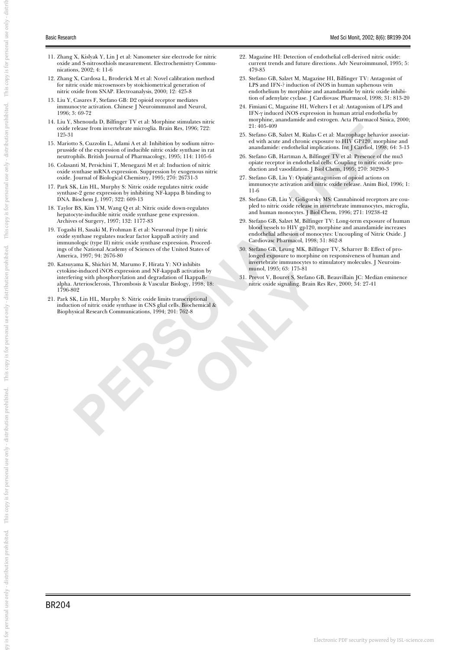- 11. Zhang X, Kislyak Y, Lin J et al: Nanometer size electrode for nitric oxide and S-nitrosothiols measurement. Electrochemistry Communications, 2002; 4: 11-6
- 12. Zhang X, Cardosa L, Broderick M et al: Novel calibration method for nitric oxide microsensors by stoichiometrical generation of nitric oxide from SNAP. Electroanalysis, 2000; 12: 425-8
- 13. Liu Y, Casares F, Stefano GB: D2 opioid receptor mediates immunocyte activation. Chinese J Neuroimmunol and Neurol, 1996; 3: 69-72
- 14. Liu Y, Shenouda D, Bilfinger TV et al: Morphine stimulates nitric oxide release from invertebrate microglia. Brain Res, 1996; 722: 125-31
- 15. Mariotto S, Cuzzolin L, Adami A et al: Inhibition by sodium nitroprusside of the expression of inducible nitric oxide synthase in rat neutrophils. British Journal of Pharmacology, 1995; 114: 1105-6
- 16. Colasanti M, Persichini T, Menegazzi M et al: Induction of nitric oxide synthase mRNA expression. Suppression by exogenous nitric oxide. Journal of Biological Chemistry, 1995; 270: 26731-3
- 17. Park SK, Lin HL, Murphy S: Nitric oxide regulates nitric oxide synthase-2 gene expression by inhibiting NF-kappa B binding to DNA. Biochem J, 1997; 322: 609-13
- 18. Taylor BS, Kim YM, Wang Q et al: Nitric oxide down-regulates hepatocyte-inducible nitric oxide synthase gene expression. Archives of Surgery, 1997; 132: 1177-83
- 19. Togashi H, Sasaki M, Frohman E et al: Neuronal (type I) nitric oxide synthase regulates nuclear factor kappaB activity and immunologic (type II) nitric oxide synthase expression. Proceedings of the National Academy of Sciences of the United States of America, 1997; 94: 2676-80
- A state of the state of the state of the state of the state of the state of the state of the state of the state of the state of the state of the state of the state of the state of the state of the state of the state of the 20. Katsuyama K, Shichiri M, Marumo F, Hirata Y: NO inhibits cytokine-induced iNOS expression and NF-kappaB activation by interfering with phosphorylation and degradation of IkappaBalpha. Arteriosclerosis, Thrombosis & Vascular Biology, 1998; 18: 1796-802
- 21. Park SK, Lin HL, Murphy S: Nitric oxide limits transcriptional induction of nitric oxide synthase in CNS glial cells. Biochemical & Biophysical Research Communications, 1994; 201: 762-8
- 22. Magazine HI: Detection of endothelial cell-derived nitric oxide: current trends and future directions. Adv Neuroimmunol, 1995; 5: 479-85
- 23. Stefano GB, Salzet M, Magazine HI, Bilfinger TV: Antagonist of LPS and IFN-? induction of iNOS in human saphenous vein endothelium by morphine and anandamide by nitric oxide inhibition of adenylate cyclase. J Cardiovasc Pharmacol, 1998; 31: 813-20
- 24. Fimiani C, Magazine HI, Welters I et al: Antagonism of LPS and IFN-γ induced iNOS expression in human atrial endothelia by morphine, anandamide and estrogen. Acta Pharmacol Sinica, 2000; 21: 405-409
- 25. Stefano GB, Salzet M, Rialas C et al: Macrophage behavior associated with acute and chronic exposure to HIV GP120, morphine and anandamide: endothelial implications. Int J Cardiol, 1998; 64: 3-13
- 26. Stefano GB, Hartman A, Bilfinger TV et al: Presence of the mu3 opiate receptor in endothelial cells: Coupling to nitric oxide production and vasodilation. J Biol Chem, 1995; 270: 30290-3
- 27. Stefano GB, Liu Y: Opiate antagonism of opioid actions on immunocyte activation and nitric oxide release. Anim Biol, 1996; 1: 11-6
- 28. Stefano GB, Liu Y, Goligorsky MS: Cannabinoid receptors are coupled to nitric oxide release in invertebrate immunocytes, microglia, and human monocytes. J Biol Chem, 1996; 271: 19238-42
- 29. Stefano GB, Salzet M, Bilfinger TV: Long-term exposure of human blood vessels to HIV gp120, morphine and anandamide increases endothelial adhesion of monocytes: Uncoupling of Nitric Oxide. J Cardiovasc Pharmacol, 1998; 31: 862-8
- 30. Stefano GB, Leung MK, Bilfinger TV, Scharrer B: Effect of prolonged exposure to morphine on responsiveness of human and invertebrate immunocytes to stimulatory molecules. J Neuroimmunol, 1995; 63: 175-81
- 31. Prevot V, Bouret S, Stefano GB, Beauvillain JC: Median eminence nitric oxide signaling. Brain Res Rev, 2000; 34: 27-41